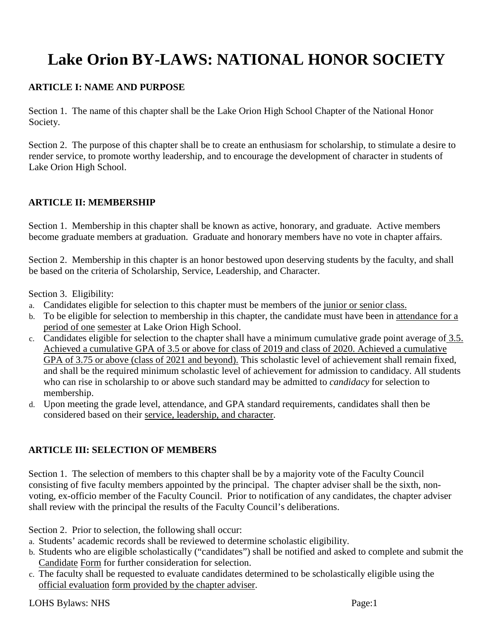# **Lake Orion BY-LAWS: NATIONAL HONOR SOCIETY**

# **ARTICLE I: NAME AND PURPOSE**

Section 1. The name of this chapter shall be the Lake Orion High School Chapter of the National Honor Society.

Section 2. The purpose of this chapter shall be to create an enthusiasm for scholarship, to stimulate a desire to render service, to promote worthy leadership, and to encourage the development of character in students of Lake Orion High School.

## **ARTICLE II: MEMBERSHIP**

Section 1. Membership in this chapter shall be known as active, honorary, and graduate. Active members become graduate members at graduation. Graduate and honorary members have no vote in chapter affairs.

Section 2. Membership in this chapter is an honor bestowed upon deserving students by the faculty, and shall be based on the criteria of Scholarship, Service, Leadership, and Character.

Section 3. Eligibility:

- a. Candidates eligible for selection to this chapter must be members of the junior or senior class.
- b. To be eligible for selection to membership in this chapter, the candidate must have been in attendance for a period of one semester at Lake Orion High School.
- c. Candidates eligible for selection to the chapter shall have a minimum cumulative grade point average of 3.5. Achieved a cumulative GPA of 3.5 or above for class of 2019 and class of 2020. Achieved a cumulative GPA of 3.75 or above (class of 2021 and beyond). This scholastic level of achievement shall remain fixed, and shall be the required minimum scholastic level of achievement for admission to candidacy. All students who can rise in scholarship to or above such standard may be admitted to *candidacy* for selection to membership.
- d. Upon meeting the grade level, attendance, and GPA standard requirements, candidates shall then be considered based on their service, leadership, and character.

## **ARTICLE III: SELECTION OF MEMBERS**

Section 1. The selection of members to this chapter shall be by a majority vote of the Faculty Council consisting of five faculty members appointed by the principal. The chapter adviser shall be the sixth, nonvoting, ex-officio member of the Faculty Council. Prior to notification of any candidates, the chapter adviser shall review with the principal the results of the Faculty Council's deliberations.

Section 2. Prior to selection, the following shall occur:

- a. Students' academic records shall be reviewed to determine scholastic eligibility.
- b. Students who are eligible scholastically ("candidates") shall be notified and asked to complete and submit the Candidate Form for further consideration for selection.
- c. The faculty shall be requested to evaluate candidates determined to be scholastically eligible using the official evaluation form provided by the chapter adviser.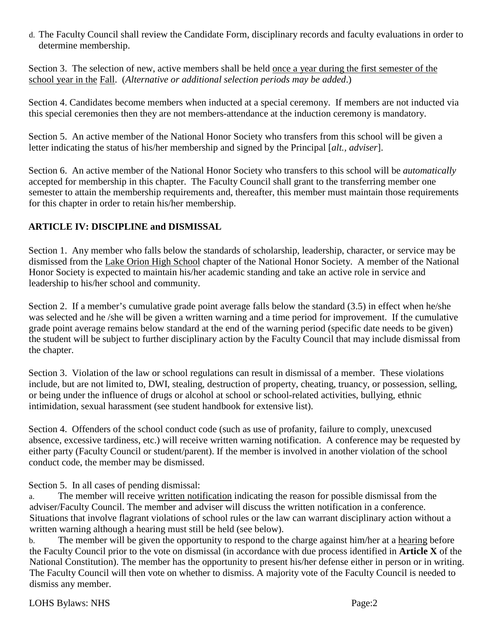d. The Faculty Council shall review the Candidate Form, disciplinary records and faculty evaluations in order to determine membership.

Section 3. The selection of new, active members shall be held once a year during the first semester of the school year in the Fall. (*Alternative or additional selection periods may be added*.)

Section 4. Candidates become members when inducted at a special ceremony. If members are not inducted via this special ceremonies then they are not members-attendance at the induction ceremony is mandatory.

Section 5. An active member of the National Honor Society who transfers from this school will be given a letter indicating the status of his/her membership and signed by the Principal [*alt., adviser*].

Section 6. An active member of the National Honor Society who transfers to this school will be *automatically* accepted for membership in this chapter. The Faculty Council shall grant to the transferring member one semester to attain the membership requirements and, thereafter, this member must maintain those requirements for this chapter in order to retain his/her membership.

# **ARTICLE IV: DISCIPLINE and DISMISSAL**

Section 1. Any member who falls below the standards of scholarship, leadership, character, or service may be dismissed from the Lake Orion High School chapter of the National Honor Society. A member of the National Honor Society is expected to maintain his/her academic standing and take an active role in service and leadership to his/her school and community.

Section 2. If a member's cumulative grade point average falls below the standard (3.5) in effect when he/she was selected and he /she will be given a written warning and a time period for improvement. If the cumulative grade point average remains below standard at the end of the warning period (specific date needs to be given) the student will be subject to further disciplinary action by the Faculty Council that may include dismissal from the chapter.

Section 3. Violation of the law or school regulations can result in dismissal of a member. These violations include, but are not limited to, DWI, stealing, destruction of property, cheating, truancy, or possession, selling, or being under the influence of drugs or alcohol at school or school-related activities, bullying, ethnic intimidation, sexual harassment (see student handbook for extensive list).

Section 4. Offenders of the school conduct code (such as use of profanity, failure to comply, unexcused absence, excessive tardiness, etc.) will receive written warning notification. A conference may be requested by either party (Faculty Council or student/parent). If the member is involved in another violation of the school conduct code, the member may be dismissed.

Section 5. In all cases of pending dismissal:

a. The member will receive written notification indicating the reason for possible dismissal from the adviser/Faculty Council. The member and adviser will discuss the written notification in a conference. Situations that involve flagrant violations of school rules or the law can warrant disciplinary action without a written warning although a hearing must still be held (see below).

b. The member will be given the opportunity to respond to the charge against him/her at a hearing before the Faculty Council prior to the vote on dismissal (in accordance with due process identified in **Article X** of the National Constitution). The member has the opportunity to present his/her defense either in person or in writing. The Faculty Council will then vote on whether to dismiss. A majority vote of the Faculty Council is needed to dismiss any member.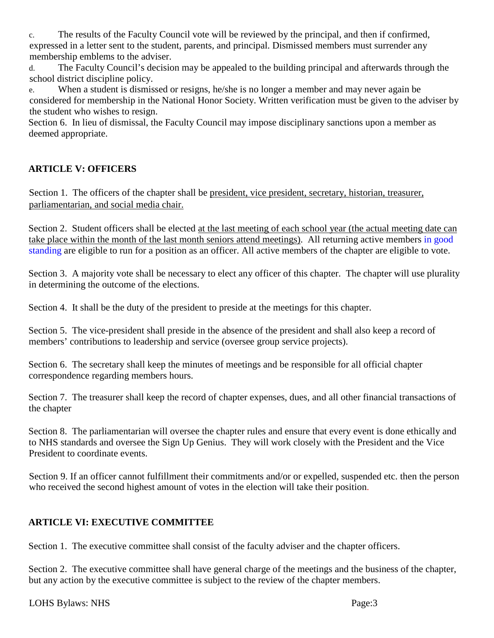c. The results of the Faculty Council vote will be reviewed by the principal, and then if confirmed, expressed in a letter sent to the student, parents, and principal. Dismissed members must surrender any membership emblems to the adviser.

The Faculty Council's decision may be appealed to the building principal and afterwards through the school district discipline policy.

e. When a student is dismissed or resigns, he/she is no longer a member and may never again be considered for membership in the National Honor Society. Written verification must be given to the adviser by the student who wishes to resign.

Section 6. In lieu of dismissal, the Faculty Council may impose disciplinary sanctions upon a member as deemed appropriate.

# **ARTICLE V: OFFICERS**

Section 1. The officers of the chapter shall be president, vice president, secretary, historian, treasurer, parliamentarian, and social media chair.

Section 2. Student officers shall be elected at the last meeting of each school year (the actual meeting date can take place within the month of the last month seniors attend meetings). All returning active members in good standing are eligible to run for a position as an officer. All active members of the chapter are eligible to vote.

Section 3. A majority vote shall be necessary to elect any officer of this chapter. The chapter will use plurality in determining the outcome of the elections.

Section 4. It shall be the duty of the president to preside at the meetings for this chapter.

Section 5. The vice-president shall preside in the absence of the president and shall also keep a record of members' contributions to leadership and service (oversee group service projects).

Section 6. The secretary shall keep the minutes of meetings and be responsible for all official chapter correspondence regarding members hours.

Section 7. The treasurer shall keep the record of chapter expenses, dues, and all other financial transactions of the chapter

Section 8. The parliamentarian will oversee the chapter rules and ensure that every event is done ethically and to NHS standards and oversee the Sign Up Genius. They will work closely with the President and the Vice President to coordinate events.

Section 9. If an officer cannot fulfillment their commitments and/or or expelled, suspended etc. then the person who received the second highest amount of votes in the election will take their position.

# **ARTICLE VI: EXECUTIVE COMMITTEE**

Section 1. The executive committee shall consist of the faculty adviser and the chapter officers.

Section 2. The executive committee shall have general charge of the meetings and the business of the chapter, but any action by the executive committee is subject to the review of the chapter members.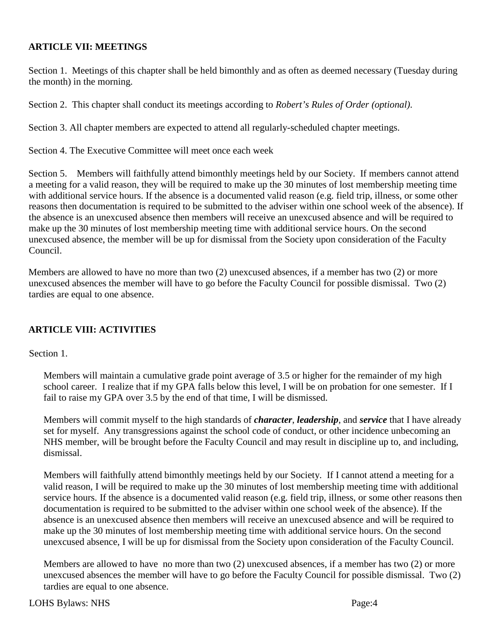# **ARTICLE VII: MEETINGS**

Section 1. Meetings of this chapter shall be held bimonthly and as often as deemed necessary (Tuesday during the month) in the morning.

Section 2. This chapter shall conduct its meetings according to *Robert's Rules of Order (optional)*.

Section 3. All chapter members are expected to attend all regularly-scheduled chapter meetings.

Section 4. The Executive Committee will meet once each week

Section 5. Members will faithfully attend bimonthly meetings held by our Society. If members cannot attend a meeting for a valid reason, they will be required to make up the 30 minutes of lost membership meeting time with additional service hours. If the absence is a documented valid reason (e.g. field trip, illness, or some other reasons then documentation is required to be submitted to the adviser within one school week of the absence). If the absence is an unexcused absence then members will receive an unexcused absence and will be required to make up the 30 minutes of lost membership meeting time with additional service hours. On the second unexcused absence, the member will be up for dismissal from the Society upon consideration of the Faculty Council.

Members are allowed to have no more than two (2) unexcused absences, if a member has two (2) or more unexcused absences the member will have to go before the Faculty Council for possible dismissal. Two (2) tardies are equal to one absence.

## **ARTICLE VIII: ACTIVITIES**

Section 1.

Members will maintain a cumulative grade point average of 3.5 or higher for the remainder of my high school career. I realize that if my GPA falls below this level, I will be on probation for one semester. If I fail to raise my GPA over 3.5 by the end of that time, I will be dismissed.

Members will commit myself to the high standards of *character*, *leadership*, and *service* that I have already set for myself. Any transgressions against the school code of conduct, or other incidence unbecoming an NHS member, will be brought before the Faculty Council and may result in discipline up to, and including, dismissal.

Members will faithfully attend bimonthly meetings held by our Society. If I cannot attend a meeting for a valid reason, I will be required to make up the 30 minutes of lost membership meeting time with additional service hours. If the absence is a documented valid reason (e.g. field trip, illness, or some other reasons then documentation is required to be submitted to the adviser within one school week of the absence). If the absence is an unexcused absence then members will receive an unexcused absence and will be required to make up the 30 minutes of lost membership meeting time with additional service hours. On the second unexcused absence, I will be up for dismissal from the Society upon consideration of the Faculty Council.

Members are allowed to have no more than two (2) unexcused absences, if a member has two (2) or more unexcused absences the member will have to go before the Faculty Council for possible dismissal. Two (2) tardies are equal to one absence.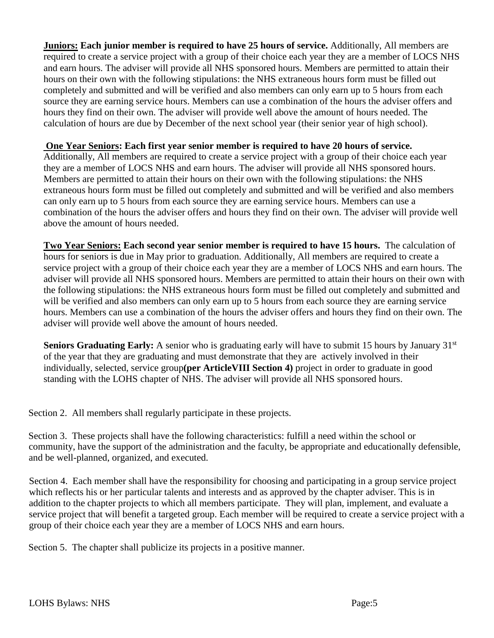**Juniors: Each junior member is required to have 25 hours of service.** Additionally, All members are required to create a service project with a group of their choice each year they are a member of LOCS NHS and earn hours. The adviser will provide all NHS sponsored hours. Members are permitted to attain their hours on their own with the following stipulations: the NHS extraneous hours form must be filled out completely and submitted and will be verified and also members can only earn up to 5 hours from each source they are earning service hours. Members can use a combination of the hours the adviser offers and hours they find on their own. The adviser will provide well above the amount of hours needed. The calculation of hours are due by December of the next school year (their senior year of high school).

**One Year Seniors: Each first year senior member is required to have 20 hours of service.**

Additionally, All members are required to create a service project with a group of their choice each year they are a member of LOCS NHS and earn hours. The adviser will provide all NHS sponsored hours. Members are permitted to attain their hours on their own with the following stipulations: the NHS extraneous hours form must be filled out completely and submitted and will be verified and also members can only earn up to 5 hours from each source they are earning service hours. Members can use a combination of the hours the adviser offers and hours they find on their own. The adviser will provide well above the amount of hours needed.

**Two Year Seniors: Each second year senior member is required to have 15 hours.** The calculation of hours for seniors is due in May prior to graduation. Additionally, All members are required to create a service project with a group of their choice each year they are a member of LOCS NHS and earn hours. The adviser will provide all NHS sponsored hours. Members are permitted to attain their hours on their own with the following stipulations: the NHS extraneous hours form must be filled out completely and submitted and will be verified and also members can only earn up to 5 hours from each source they are earning service hours. Members can use a combination of the hours the adviser offers and hours they find on their own. The adviser will provide well above the amount of hours needed.

**Seniors Graduating Early:** A senior who is graduating early will have to submit 15 hours by January 31<sup>st</sup> of the year that they are graduating and must demonstrate that they are actively involved in their individually, selected, service group**(per ArticleVIII Section 4)** project in order to graduate in good standing with the LOHS chapter of NHS. The adviser will provide all NHS sponsored hours.

Section 2. All members shall regularly participate in these projects.

Section 3. These projects shall have the following characteristics: fulfill a need within the school or community, have the support of the administration and the faculty, be appropriate and educationally defensible, and be well-planned, organized, and executed.

Section 4. Each member shall have the responsibility for choosing and participating in a group service project which reflects his or her particular talents and interests and as approved by the chapter adviser. This is in addition to the chapter projects to which all members participate. They will plan, implement, and evaluate a service project that will benefit a targeted group. Each member will be required to create a service project with a group of their choice each year they are a member of LOCS NHS and earn hours.

Section 5. The chapter shall publicize its projects in a positive manner.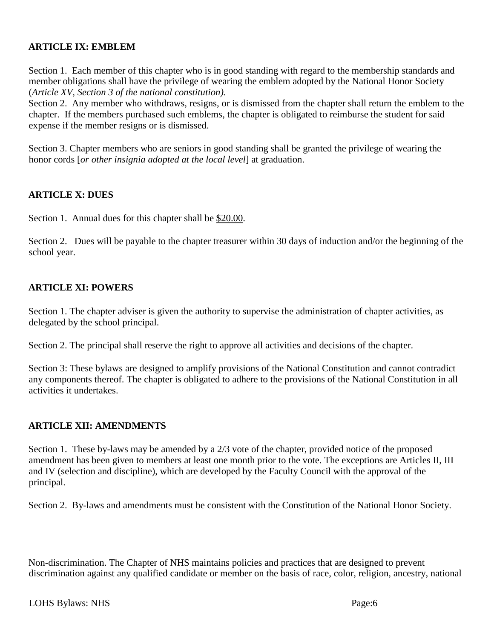# **ARTICLE IX: EMBLEM**

Section 1. Each member of this chapter who is in good standing with regard to the membership standards and member obligations shall have the privilege of wearing the emblem adopted by the National Honor Society (*Article XV, Section 3 of the national constitution).*

Section 2. Any member who withdraws, resigns, or is dismissed from the chapter shall return the emblem to the chapter. If the members purchased such emblems, the chapter is obligated to reimburse the student for said expense if the member resigns or is dismissed.

Section 3. Chapter members who are seniors in good standing shall be granted the privilege of wearing the honor cords [*or other insignia adopted at the local level*] at graduation.

#### **ARTICLE X: DUES**

Section 1. Annual dues for this chapter shall be \$20.00.

Section 2. Dues will be payable to the chapter treasurer within 30 days of induction and/or the beginning of the school year.

#### **ARTICLE XI: POWERS**

Section 1. The chapter adviser is given the authority to supervise the administration of chapter activities, as delegated by the school principal.

Section 2. The principal shall reserve the right to approve all activities and decisions of the chapter.

Section 3: These bylaws are designed to amplify provisions of the National Constitution and cannot contradict any components thereof. The chapter is obligated to adhere to the provisions of the National Constitution in all activities it undertakes.

#### **ARTICLE XII: AMENDMENTS**

Section 1. These by-laws may be amended by a 2/3 vote of the chapter, provided notice of the proposed amendment has been given to members at least one month prior to the vote. The exceptions are Articles II, III and IV (selection and discipline), which are developed by the Faculty Council with the approval of the principal.

Section 2. By-laws and amendments must be consistent with the Constitution of the National Honor Society.

Non-discrimination. The Chapter of NHS maintains policies and practices that are designed to prevent discrimination against any qualified candidate or member on the basis of race, color, religion, ancestry, national